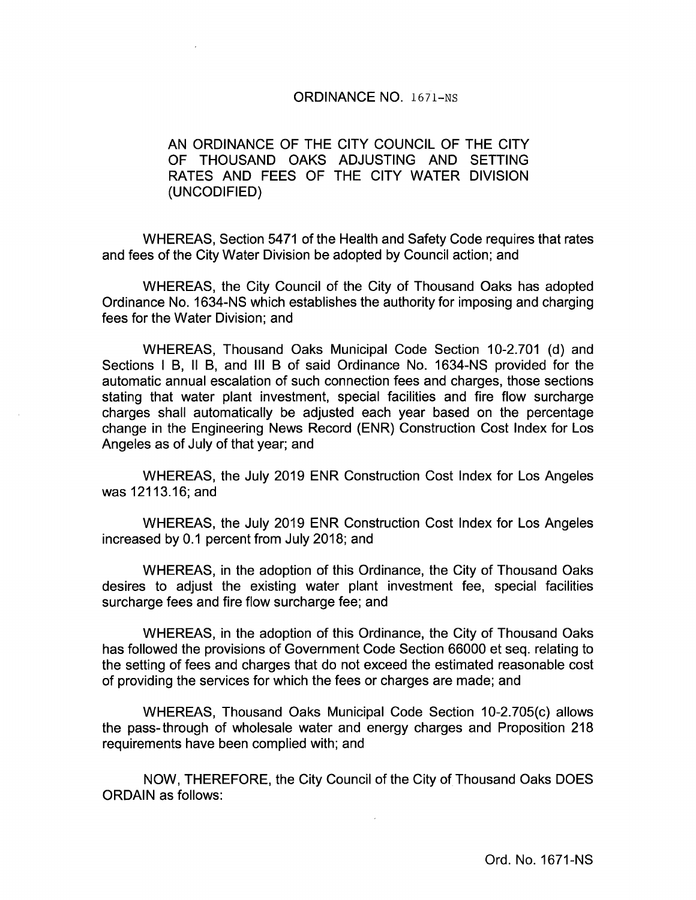## ORDINANCE NO. 1671—Ns

# AN ORDINANCE OF THE CITY COUNCIL OF THE CITY OF THOUSAND OAKS ADJUSTING AND SETTING RATES AND FEES OF THE CITY WATER DIVISION UNCODIFIED)

WHEREAS, Section 5471 of the Health and Safety Code requires that rates and fees of the City Water Division be adopted by Council action; and

WHEREAS, the City Council of the City of Thousand Oaks has adopted Ordinance No. 1634- NS which establishes the authority for imposing and charging fees for the Water Division; and

WHEREAS, Thousand Oaks Municipal Code Section 10-2.701 (d) and Sections I B, II B, and III B of said Ordinance No. 1634-NS provided for the automatic annual escalation of such connection fees and charges, those sections stating that water plant investment, special facilities and fire flow surcharge charges shall automatically be adjusted each year based on the percentage change in the Engineering News Record (ENR) Construction Cost Index for Los Angeles as of July of that year; and

WHEREAS, the July 2019 ENR Construction Cost Index for Los Angeles was 12113. 16; and

WHEREAS, the July 2019 ENR Construction Cost Index for Los Angeles increased by 0.1 percent from July 2018; and

WHEREAS, in the adoption of this Ordinance, the City of Thousand Oaks desires to adjust the existing water plant investment fee, special facilities surcharge fees and fire flow surcharge fee; and

WHEREAS, in the adoption of this Ordinance, the City of Thousand Oaks has followed the provisions of Government Code Section 66000 et seq. relating to the setting of fees and charges that do not exceed the estimated reasonable cost of providing the services for which the fees or charges are made; and

WHEREAS, Thousand Oaks Municipal Code Section 10-2.705(c) allows the pass-through of wholesale water and energy charges and Proposition 218 requirements have been complied with; and

NOW, THEREFORE, the City Council of the City of Thousand Oaks DOES ORDAIN as follows: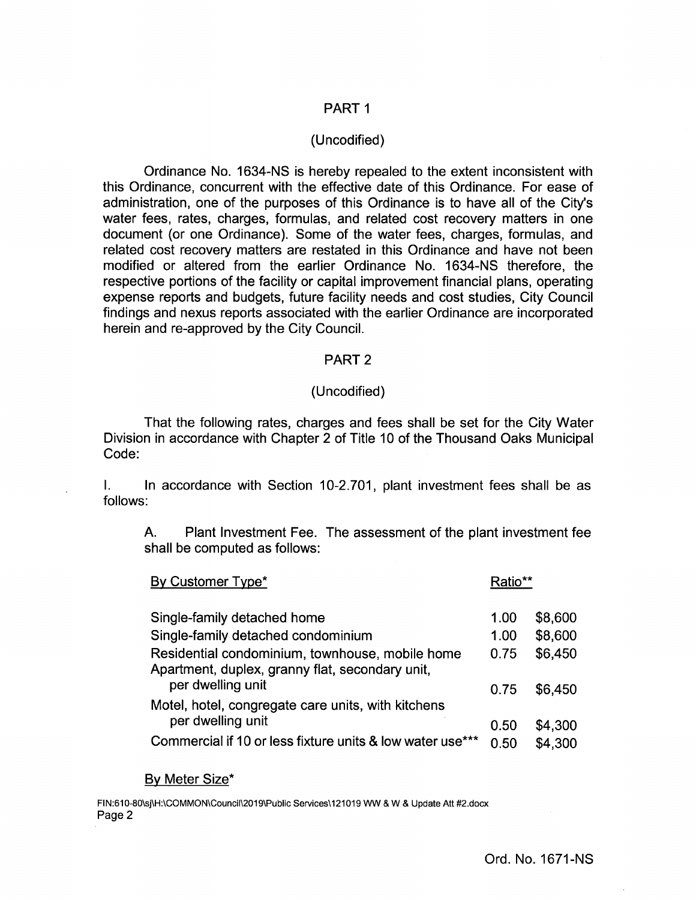# PART <sup>1</sup>

## Uncodified)

Ordinance No. 1634- NS is hereby repealed to the extent inconsistent with this Ordinance, concurrent with the effective date of this Ordinance. For ease of administration, one of the purposes of this Ordinance is to have all of the City's water fees, rates, charges, formulas, and related cost recovery matters in one document (or one Ordinance). Some of the water fees, charges, formulas, and related cost recovery matters are restated in this Ordinance and have not been modified or altered from the earlier Ordinance No. 1634- NS therefore, the respective portions of the facility or capital improvement financial plans, operating expense reports and budgets, future facility needs and cost studies, City Council findings and nexus reports associated with the earlier Ordinance are incorporated herein and re-approved by the City Council.

### PART 2

### Uncodified)

That the following rates, charges and fees shall be set for the City Water Division in accordance with Chapter 2 of Title 10 of the Thousand Oaks Municipal Code:

I. In accordance with Section 10-2.701, plant investment fees shall be as follows:

A. Plant Investment Fee. The assessment of the plant investment fee shall be computed as follows:

| By Customer Type*                                                                                  |      |         |
|----------------------------------------------------------------------------------------------------|------|---------|
| Single-family detached home                                                                        | 1.00 | \$8,600 |
| Single-family detached condominium                                                                 | 1.00 | \$8,600 |
| Residential condominium, townhouse, mobile home<br>Apartment, duplex, granny flat, secondary unit, | 0.75 | \$6,450 |
| per dwelling unit                                                                                  | 0.75 | \$6,450 |
| Motel, hotel, congregate care units, with kitchens                                                 |      |         |
| per dwelling unit                                                                                  | 0.50 | \$4,300 |
| Commercial if 10 or less fixture units & low water use***                                          | 0.50 | \$4,300 |

#### By Meter Size\*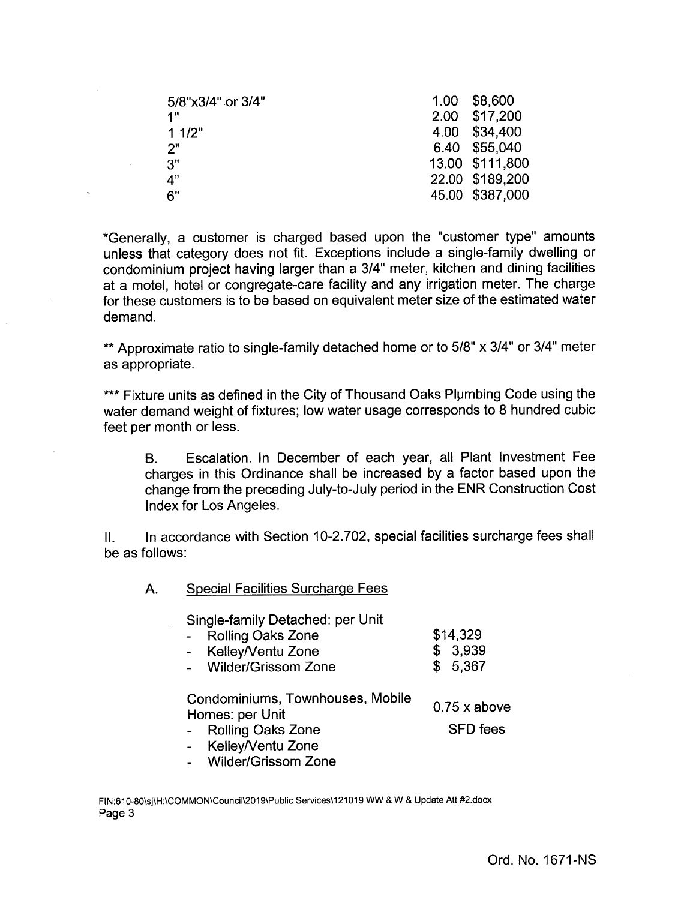| 5/8"x3/4" or 3/4" | 1.00 | \$8,600         |
|-------------------|------|-----------------|
| 1"                |      | 2.00 \$17,200   |
| 11/2"             |      | 4.00 \$34,400   |
| 2"                |      | 6.40 \$55,040   |
| 3"                |      | 13.00 \$111,800 |
| 4"                |      | 22.00 \$189,200 |
| 6"                |      | 45.00 \$387,000 |
|                   |      |                 |

Generally, a customer is charged based upon the " customer type" amounts unless that category does not fit. Exceptions include a single-family dwelling or condominium project having larger than a 3/4" meter, kitchen and dining facilities at a motel, hotel or congregate -care facility and any irrigation meter. The charge for these customers is to be based on equivalent meter size of the estimated water demand.

\*\* Approximate ratio to single-family detached home or to 5/8" x 3/4" or 3/4" meter as appropriate.

\*\*\* Fixture units as defined in the City of Thousand Oaks Plumbing Code using the water demand weight of fixtures; low water usage corresponds to 8 hundred cubic feet per month or less.

B. Escalation. In December of each year, all Plant Investment Fee charges in this Ordinance shall be increased by a factor based upon the change from the preceding July -to -July period in the ENR Construction Cost Index for Los Angeles.

II. In accordance with Section 10-2.702, special facilities surcharge fees shall be as follows:

A. Special Facilities Surcharge Fees

Single-family Detached: per Unit

| Rolling Oaks Zone | \$14,329 |
|-------------------|----------|
| Kelley/Ventu Zone | \$3,939  |

Wilder/Grissom Zone  $$5,367$ 

Condominiums, Townhouses, Mobile Homes: per Unit

 $0.75$  x above

- Rolling Oaks Zone SFD fees
- KelleyNentu Zone
- Wilder/Grissom Zone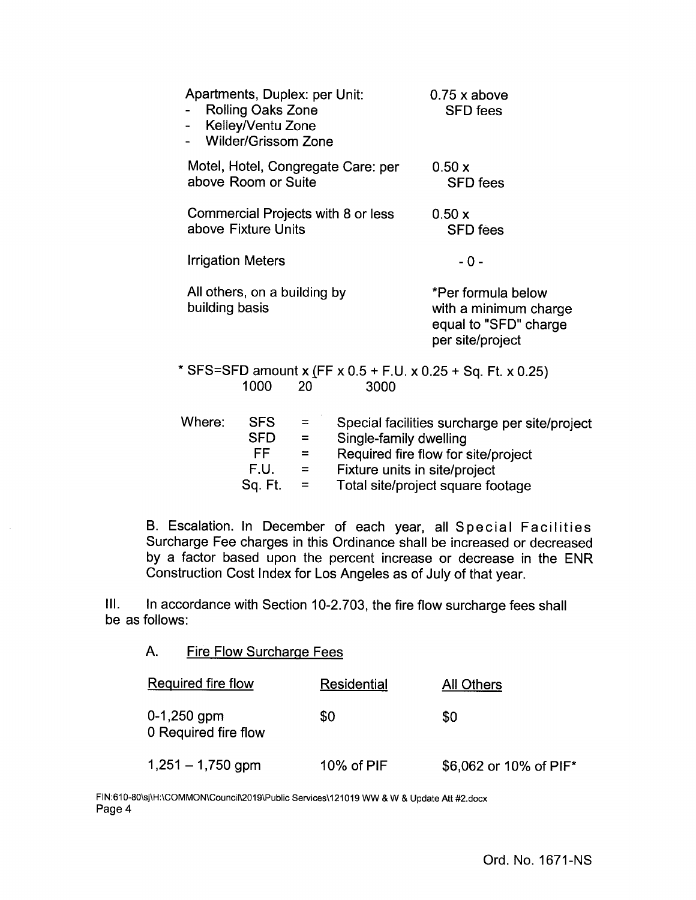| Apartments, Duplex: per Unit:                  | <b>Rolling Oaks Zone</b><br>Kelley/Ventu Zone<br><b>Wilder/Grissom Zone</b>                                                                                                                                                                                   |                       |                                    | $0.75$ x above<br><b>SFD</b> fees                                                                                     |  |
|------------------------------------------------|---------------------------------------------------------------------------------------------------------------------------------------------------------------------------------------------------------------------------------------------------------------|-----------------------|------------------------------------|-----------------------------------------------------------------------------------------------------------------------|--|
| above Room or Suite                            |                                                                                                                                                                                                                                                               |                       | Motel, Hotel, Congregate Care: per | 0.50 x<br><b>SFD</b> fees                                                                                             |  |
| above Fixture Units                            |                                                                                                                                                                                                                                                               |                       | Commercial Projects with 8 or less | 0.50x<br><b>SFD</b> fees                                                                                              |  |
| <b>Irrigation Meters</b>                       |                                                                                                                                                                                                                                                               |                       |                                    | - 0 -                                                                                                                 |  |
| All others, on a building by<br>building basis |                                                                                                                                                                                                                                                               |                       |                                    | *Per formula below<br>with a minimum charge<br>equal to "SFD" charge<br>per site/project                              |  |
|                                                | 1000                                                                                                                                                                                                                                                          | 20                    | 3000                               | * SFS=SFD amount x (FF x 0.5 + F.U. x 0.25 + Sq. Ft. x 0.25)                                                          |  |
| Where:                                         | <b>SFS</b><br>SFD =<br>FF and the set of the set of the set of the set of the set of the set of the set of the set of the set of the set of the set of the set of the set of the set of the set of the set of the set of the set of the set of the se<br>F.U. | $=$<br>$=$ $-$<br>$=$ | Single-family dwelling             | Special facilities surcharge per site/project<br>Required fire flow for site/project<br>Fixture units in site/project |  |

Sq. Ft. = Total site/project square footage

B. Escalation. In December of each year, all Special Facilities Surcharge Fee charges in this Ordinance shall be increased or decreased by a factor based upon the percent increase or decrease in the ENR Construction Cost Index for Los Angeles as of July of that year.

III. In accordance with Section 10-2.703, the fire flow surcharge fees shall be as follows:

A. Fire Flow Surcharge Fees

| Required fire flow                    | <b>Residential</b> | All Others             |
|---------------------------------------|--------------------|------------------------|
| $0-1,250$ gpm<br>0 Required fire flow | \$0                | \$0                    |
| $1,251 - 1,750$ gpm                   | 10% of PIF         | \$6,062 or 10% of PIF* |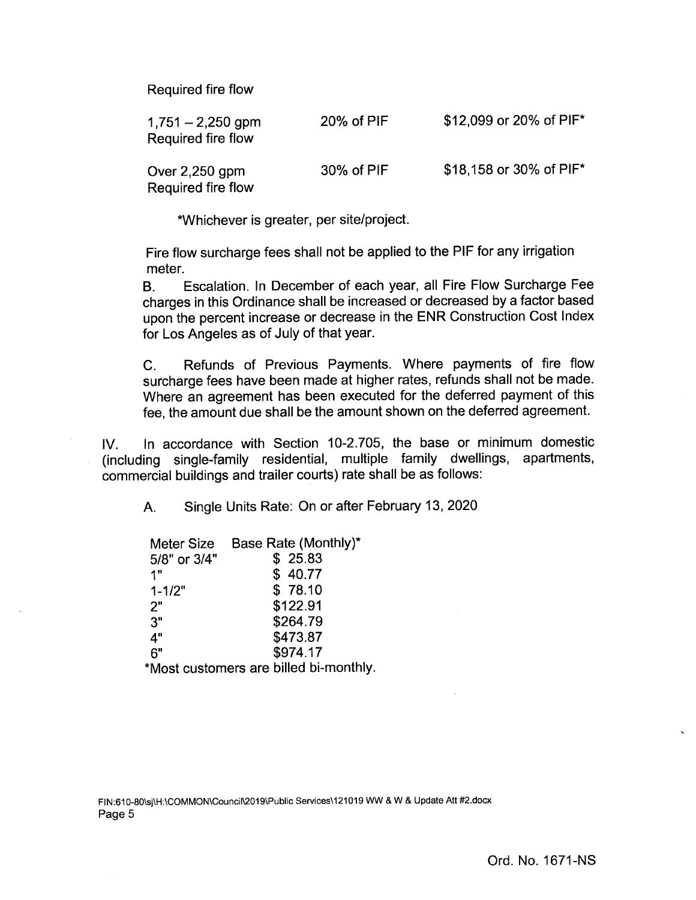Required fire flow

| $1,751 - 2,250$ gpm<br>Required fire flow | $20\%$ of PIF | \$12,099 or 20% of PIF* |
|-------------------------------------------|---------------|-------------------------|
| Over $2,250$ gpm<br>Required fire flow    | 30% of PIF    | \$18,158 or 30% of PIF* |

Whichever is greater, per site/project.

Fire flow surcharge fees shall not be applied to the PIF for any irrigation meter.

B. Escalation. In December of each year, all Fire Flow Surcharge Fee charges in this Ordinance shall be increased or decreased by a factor based upon the percent increase or decrease in the ENR Construction Cost Index for Los Angeles as of July of that year.

C. Refunds of Previous Payments. Where payments of fire flow surcharge fees have been made at higher rates, refunds shall not be made. Where an agreement has been executed for the deferred payment of this fee, the amount due shall be the amount shown on the deferred agreement.

IV. In accordance with Section 10-2. 705, the base or minimum domestic including single-family residential, multiple family dwellings, apartments, commercial buildings and trailer courts) rate shall be as follows:

A. Single Units Rate: On or after February 13, 2020

| <b>Meter Size</b>                                                                                    | Base Rate (Monthly)*          |
|------------------------------------------------------------------------------------------------------|-------------------------------|
| 5/8" or 3/4"                                                                                         | \$25.83                       |
| 1"                                                                                                   | \$40.77                       |
| $1 - 1/2"$                                                                                           | \$78.10                       |
| 2"                                                                                                   | \$122.91                      |
| 3"                                                                                                   | \$264.79                      |
| 4"                                                                                                   | \$473.87                      |
| 6"                                                                                                   | \$974.17                      |
| 18. A. s. s. št. s. s. s. št. n. št. št. n. št. n. št. št. n. št. n. št. n. št. n. št. n. št. n. št. | والماغم ممرائط الممااليا المد |

Most customers are billed bi- monthly.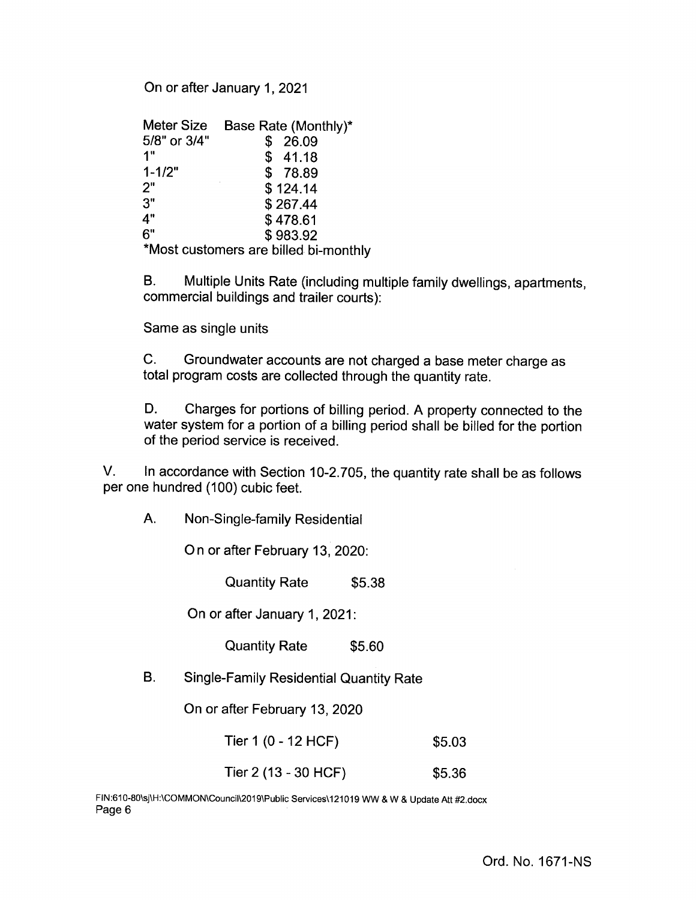On or after January 1, 2021

| <b>Meter Size</b> | Base Rate (Monthly)* |
|-------------------|----------------------|
| 5/8" or 3/4"      | 26.09<br>\$          |
| 1"                | \$41.18              |
| $1 - 1/2"$        | \$78.89              |
| 2"                | \$124.14             |
| 3"                | \$267.44             |
| 4"                | \$478.61             |
| 6"                | \$983.92             |
| .                 |                      |

Most customers are billed bi- monthly

B. Multiple Units Rate (including multiple family dwellings, apartments, commercial buildings and trailer courts):

Same as single units

C. Groundwater accounts are not charged a base meter charge as total program costs are collected through the quantity rate.

D. Charges for portions of billing period. A property connected to the water system for a portion of a billing period shall be billed for the portion of the period service is received.

V. In accordance with Section 10-2.705, the quantity rate shall be as follows per one hundred (100) cubic feet.

A. Non -Single-family Residential

On or after February 13, 2020:

Quantity Rate \$5.38

On or after January 1, 2021:

Quantity Rate \$5.60

B. Single -Family Residential Quantity Rate

On or after February 13, 2020

Tier 1 (0 - 12 HCF) \$ 5.03

Tier 2 (13 - 30 HCF) \$5.36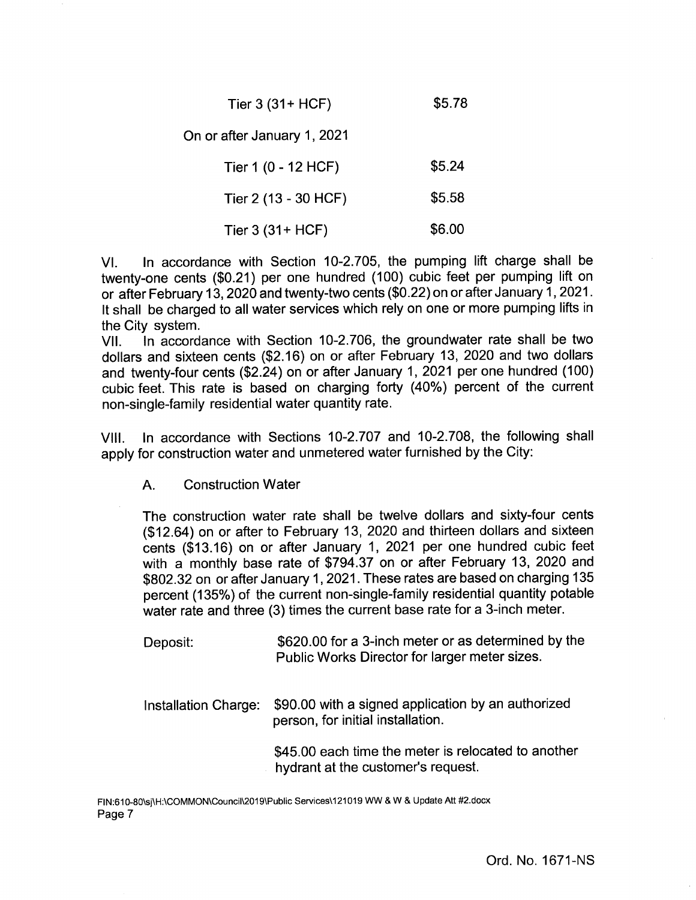Tier 3 (31+ HCF) \$5.78

On or after January 1, 2021

Tier 1 (0 - 12 HCF) \$5.24 Tier 2 (13 - 30 HCF) \$ 5.58

Tier 3 (31 + HCF) \$ 6.00

VI. In accordance with Section 10-2.705, the pumping lift charge shall be twenty-one cents (\$0.21) per one hundred (100) cubic feet per pumping lift on or after February 13, 2020 and twenty-two cents (\$0. 22) on or after January 1, 2021. It shall be charged to all water services which rely on one or more pumping lifts in

the City system.<br>VII. In accord In accordance with Section 10-2.706, the groundwater rate shall be two dollars and sixteen cents (\$2.16) on or after February 13, 2020 and two dollars and twenty-four cents (\$2.24) on or after January 1, 2021 per one hundred (100) cubic feet. This rate is based on charging forty ( 40%) percent of the current non -single-family residential water quantity rate.

VIII. In accordance with Sections 10-2.707 and 10-2.708, the following shall apply for construction water and unmetered water furnished by the City:

A. Construction Water

The construction water rate shall be twelve dollars and sixty-four cents 12. 64) on or after to February 13, 2020 and thirteen dollars and sixteen cents (\$13.16) on or after January 1, 2021 per one hundred cubic feet with a monthly base rate of \$794.37 on or after February 13, 2020 and 802.32 on or after January 1, 2021. These rates are based on charging 135 percent (135%) of the current non -single-family residential quantity potable water rate and three (3) times the current base rate for a 3-inch meter.

- Deposit: \$620.00 for a 3-inch meter or as determined by the Public Works Director for larger meter sizes.
- Installation Charge: \$90.00 with a signed application by an authorized person, for initial installation.

45.00 each time the meter is relocated to another hydrant at the customer's request.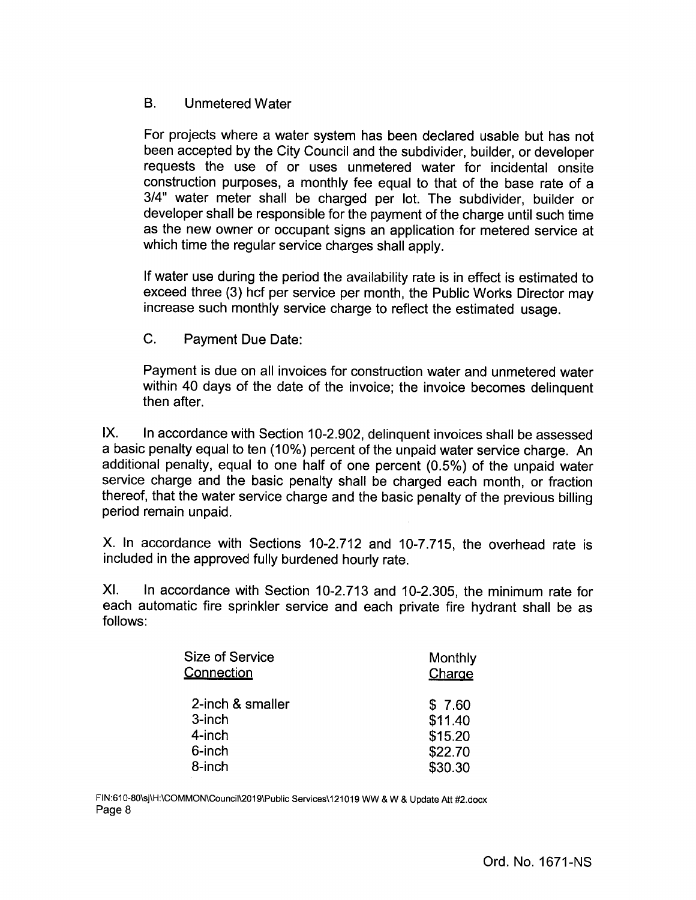# B. Unmetered Water

For projects where a water system has been declared usable but has not been accepted by the City Council and the subdivider, builder, or developer requests the use of or uses unmetered water for incidental onsite construction purposes, a monthly fee equal to that of the base rate of a 3/4" water meter shall be charged per lot. The subdivider, builder or developer shall be responsible for the payment of the charge until such time as the new owner or occupant signs an application for metered service at which time the regular service charges shall apply.

If water use during the period the availability rate is in effect is estimated to exceed three (3) hcf per service per month, the Public Works Director may increase such monthly service charge to reflect the estimated usage.

C. Payment Due Date:

Payment is due on all invoices for construction water and unmetered water within 40 days of the date of the invoice; the invoice becomes delinquent then after.

IX. In accordance with Section 10-2.902, delinguent invoices shall be assessed a basic penalty equal to ten ( 10%) percent of the unpaid water service charge. An additional penalty, equal to one half of one percent (0.5%) of the unpaid water service charge and the basic penalty shall be charged each month, or fraction thereof, that the water service charge and the basic penalty of the previous billing period remain unpaid.

X. In accordance with Sections 10-2.712 and 10-7.715, the overhead rate is included in the approved fully burdened hourly rate.

XI. In accordance with Section 10-2.713 and 10-2.305, the minimum rate for each automatic fire sprinkler service and each private fire hydrant shall be as follows:

| <b>Size of Service</b> | Monthly |
|------------------------|---------|
| <b>Connection</b>      | Charge  |
| 2-inch & smaller       | \$7.60  |
| 3-inch                 | \$11.40 |
| 4-inch                 | \$15.20 |
| 6-inch                 | \$22.70 |
| 8-inch                 | \$30.30 |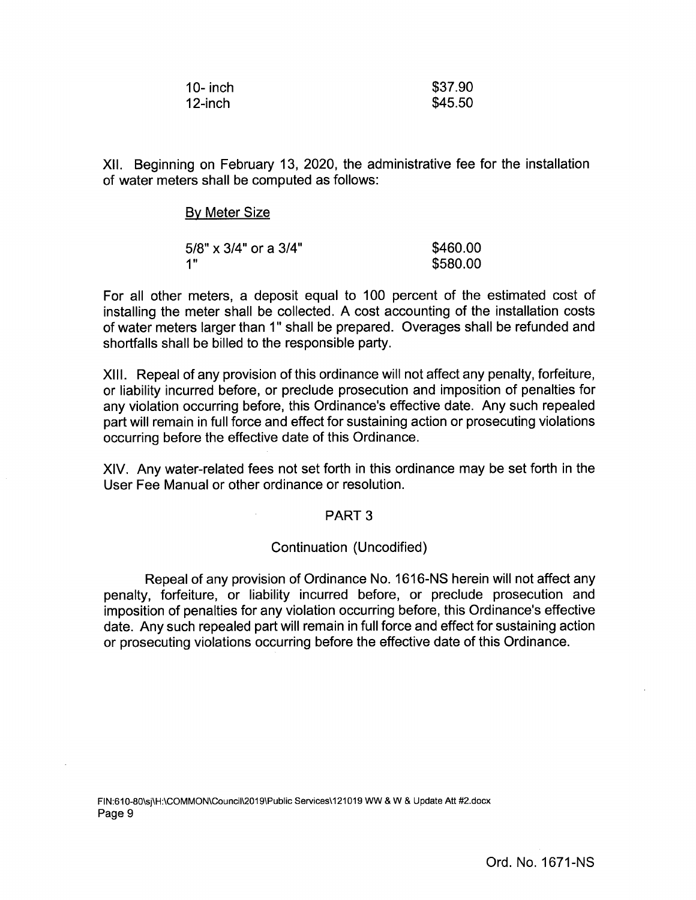| 10- inch | \$37.90 |
|----------|---------|
| 12-inch  | \$45.50 |

XII. Beginning on February 13, 2020, the administrative fee for the installation of water meters shall be computed as follows:

| <b>By Meter Size</b>     |          |
|--------------------------|----------|
| $5/8$ " x 3/4" or a 3/4" | \$460.00 |
| - 1"                     | \$580.00 |

For all other meters, a deposit equal to 100 percent of the estimated cost of installing the meter shall be collected. A cost accounting of the installation costs of water meters larger than 1" shall be prepared. Overages shall be refunded and shortfalls shall be billed to the responsible party.

XIII. Repeal of any provision of this ordinance will not affect any penalty, forfeiture, or liability incurred before, or preclude prosecution and imposition of penalties for any violation occurring before, this Ordinance's effective date. Any such repealed part will remain in full force and effect for sustaining action or prosecuting violations occurring before the effective date of this Ordinance.

XIV. Any water -related fees not set forth in this ordinance may be set forth in the User Fee Manual or other ordinance or resolution.

# PART 3

# Continuation (Uncodified)

Repeal of any provision of Ordinance No. 1616- NS herein will not affect any penalty, forfeiture, or liability incurred before, or preclude prosecution and imposition of penalties for any violation occurring before, this Ordinance's effective date. Any such repealed part will remain in full force and effect for sustaining action or prosecuting violations occurring before the effective date of this Ordinance.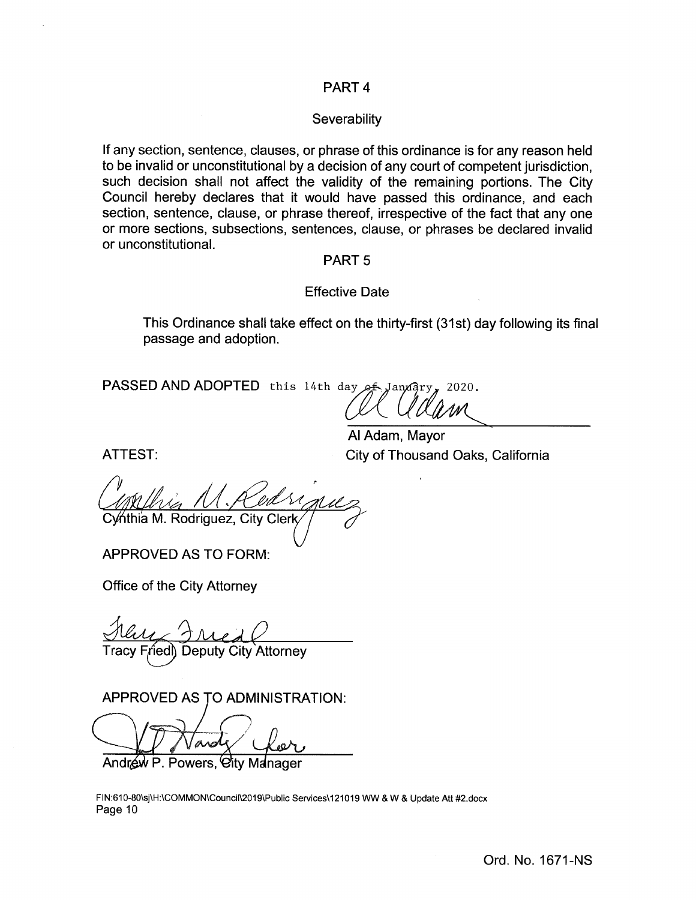# PART 4

## **Severability**

If any section, sentence, clauses, or phrase of this ordinance is for any reason held to be invalid or unconstitutional by a decision of any court of competent jurisdiction, such decision shall not affect the validity of the remaining portions. The City Council hereby declares that it would have passed this ordinance, and each section, sentence, clause, or phrase thereof, irrespective of the fact that any one or more sections, subsections, sentences, clause, or phrases be declared invalid or unconstitutional.

### PART 5

## Effective Date

This Ordinance shall take effect on the thirty-first (31st) day following its final passage and adoption.

PASSED AND ADOPTED this 14th day of

de Clarence<br>Al Adam, Mayor

City of Thousand Oaks, California

Cy⁄nthia M. Rodriguez, City Cler

APPROVED AS TO FORM:

Office of the City Attorney

ATTEST:

Tracy Friedl) Deputy City Attorney

APPROVED AS TO ADMINISTRATION:

Andrew P. Powers, City Manager